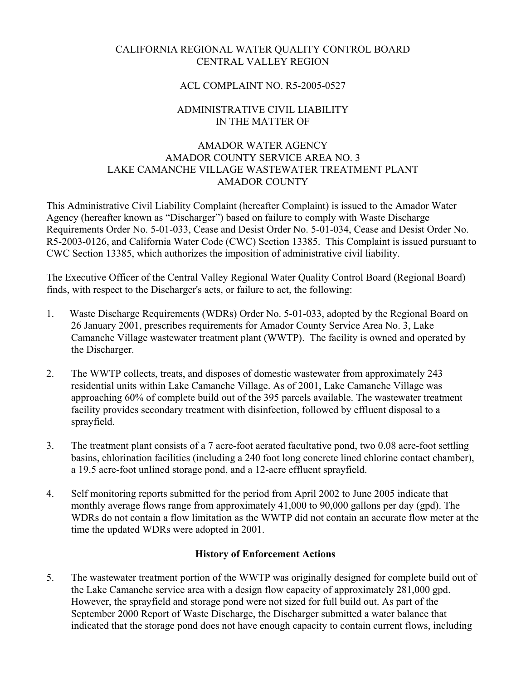# CALIFORNIA REGIONAL WATER QUALITY CONTROL BOARD CENTRAL VALLEY REGION

# ACL COMPLAINT NO. R5-2005-0527

# ADMINISTRATIVE CIVIL LIABILITY IN THE MATTER OF

# AMADOR WATER AGENCY AMADOR COUNTY SERVICE AREA NO. 3 LAKE CAMANCHE VILLAGE WASTEWATER TREATMENT PLANT AMADOR COUNTY

This Administrative Civil Liability Complaint (hereafter Complaint) is issued to the Amador Water Agency (hereafter known as "Discharger") based on failure to comply with Waste Discharge Requirements Order No. 5-01-033, Cease and Desist Order No. 5-01-034, Cease and Desist Order No. R5-2003-0126, and California Water Code (CWC) Section 13385. This Complaint is issued pursuant to CWC Section 13385, which authorizes the imposition of administrative civil liability.

The Executive Officer of the Central Valley Regional Water Quality Control Board (Regional Board) finds, with respect to the Discharger's acts, or failure to act, the following:

- 1. Waste Discharge Requirements (WDRs) Order No. 5-01-033, adopted by the Regional Board on 26 January 2001, prescribes requirements for Amador County Service Area No. 3, Lake Camanche Village wastewater treatment plant (WWTP). The facility is owned and operated by the Discharger.
- 2. The WWTP collects, treats, and disposes of domestic wastewater from approximately 243 residential units within Lake Camanche Village. As of 2001, Lake Camanche Village was approaching 60% of complete build out of the 395 parcels available. The wastewater treatment facility provides secondary treatment with disinfection, followed by effluent disposal to a sprayfield.
- 3. The treatment plant consists of a 7 acre-foot aerated facultative pond, two 0.08 acre-foot settling basins, chlorination facilities (including a 240 foot long concrete lined chlorine contact chamber), a 19.5 acre-foot unlined storage pond, and a 12-acre effluent sprayfield.
- 4. Self monitoring reports submitted for the period from April 2002 to June 2005 indicate that monthly average flows range from approximately 41,000 to 90,000 gallons per day (gpd). The WDRs do not contain a flow limitation as the WWTP did not contain an accurate flow meter at the time the updated WDRs were adopted in 2001.

### **History of Enforcement Actions**

5. The wastewater treatment portion of the WWTP was originally designed for complete build out of the Lake Camanche service area with a design flow capacity of approximately 281,000 gpd. However, the sprayfield and storage pond were not sized for full build out. As part of the September 2000 Report of Waste Discharge, the Discharger submitted a water balance that indicated that the storage pond does not have enough capacity to contain current flows, including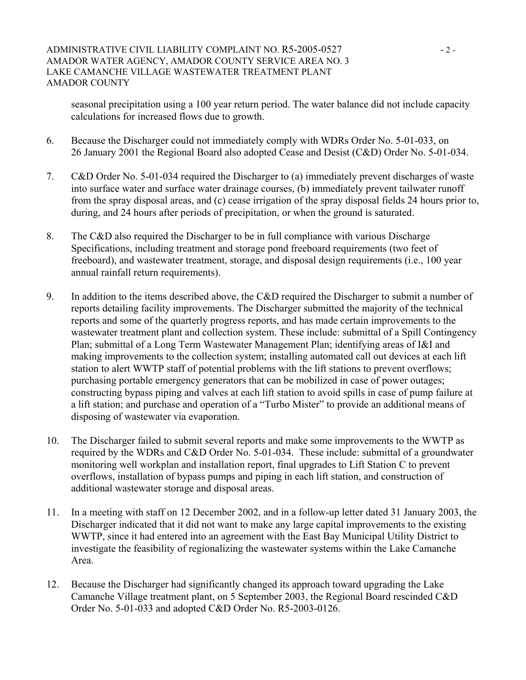seasonal precipitation using a 100 year return period. The water balance did not include capacity calculations for increased flows due to growth.

- 6. Because the Discharger could not immediately comply with WDRs Order No. 5-01-033, on 26 January 2001 the Regional Board also adopted Cease and Desist (C&D) Order No. 5-01-034.
- 7. C&D Order No. 5-01-034 required the Discharger to (a) immediately prevent discharges of waste into surface water and surface water drainage courses, (b) immediately prevent tailwater runoff from the spray disposal areas, and (c) cease irrigation of the spray disposal fields 24 hours prior to, during, and 24 hours after periods of precipitation, or when the ground is saturated.
- 8. The C&D also required the Discharger to be in full compliance with various Discharge Specifications, including treatment and storage pond freeboard requirements (two feet of freeboard), and wastewater treatment, storage, and disposal design requirements (i.e., 100 year annual rainfall return requirements).
- 9. In addition to the items described above, the C&D required the Discharger to submit a number of reports detailing facility improvements. The Discharger submitted the majority of the technical reports and some of the quarterly progress reports, and has made certain improvements to the wastewater treatment plant and collection system. These include: submittal of a Spill Contingency Plan; submittal of a Long Term Wastewater Management Plan; identifying areas of I&I and making improvements to the collection system; installing automated call out devices at each lift station to alert WWTP staff of potential problems with the lift stations to prevent overflows; purchasing portable emergency generators that can be mobilized in case of power outages; constructing bypass piping and valves at each lift station to avoid spills in case of pump failure at a lift station; and purchase and operation of a "Turbo Mister" to provide an additional means of disposing of wastewater via evaporation.
- 10. The Discharger failed to submit several reports and make some improvements to the WWTP as required by the WDRs and C&D Order No. 5-01-034. These include: submittal of a groundwater monitoring well workplan and installation report, final upgrades to Lift Station C to prevent overflows, installation of bypass pumps and piping in each lift station, and construction of additional wastewater storage and disposal areas.
- 11. In a meeting with staff on 12 December 2002, and in a follow-up letter dated 31 January 2003, the Discharger indicated that it did not want to make any large capital improvements to the existing WWTP, since it had entered into an agreement with the East Bay Municipal Utility District to investigate the feasibility of regionalizing the wastewater systems within the Lake Camanche Area.
- 12. Because the Discharger had significantly changed its approach toward upgrading the Lake Camanche Village treatment plant, on 5 September 2003, the Regional Board rescinded C&D Order No. 5-01-033 and adopted C&D Order No. R5-2003-0126.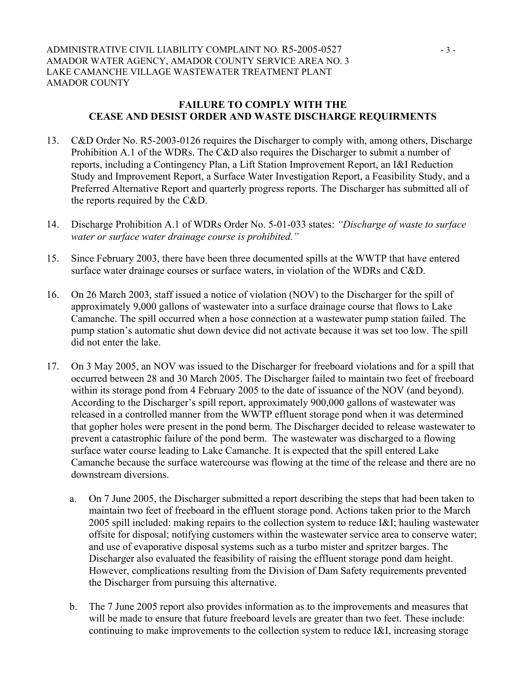### **FAILURE TO COMPLY WITH THE CEASE AND DESIST ORDER AND WASTE DISCHARGE REQUIRMENTS**

- 13. C&D Order No. R5-2003-0126 requires the Discharger to comply with, among others, Discharge Prohibition A.1 of the WDRs. The C&D also requires the Discharger to submit a number of reports, including a Contingency Plan, a Lift Station Improvement Report, an I&I Reduction Study and Improvement Report, a Surface Water Investigation Report, a Feasibility Study, and a Preferred Alternative Report and quarterly progress reports. The Discharger has submitted all of the reports required by the C&D.
- 14. Discharge Prohibition A.1 of WDRs Order No. 5-01-033 states: *"Discharge of waste to surface water or surface water drainage course is prohibited."*
- 15. Since February 2003, there have been three documented spills at the WWTP that have entered surface water drainage courses or surface waters, in violation of the WDRs and C&D.
- 16. On 26 March 2003, staff issued a notice of violation (NOV) to the Discharger for the spill of approximately 9,000 gallons of wastewater into a surface drainage course that flows to Lake Camanche. The spill occurred when a hose connection at a wastewater pump station failed. The pump station's automatic shut down device did not activate because it was set too low. The spill did not enter the lake.
- 17. On 3 May 2005, an NOV was issued to the Discharger for freeboard violations and for a spill that occurred between 28 and 30 March 2005. The Discharger failed to maintain two feet of freeboard within its storage pond from 4 February 2005 to the date of issuance of the NOV (and beyond). According to the Discharger's spill report, approximately 900,000 gallons of wastewater was released in a controlled manner from the WWTP effluent storage pond when it was determined that gopher holes were present in the pond berm. The Discharger decided to release wastewater to prevent a catastrophic failure of the pond berm. The wastewater was discharged to a flowing surface water course leading to Lake Camanche. It is expected that the spill entered Lake Camanche because the surface watercourse was flowing at the time of the release and there are no downstream diversions.
	- a. On 7 June 2005, the Discharger submitted a report describing the steps that had been taken to maintain two feet of freeboard in the effluent storage pond. Actions taken prior to the March 2005 spill included: making repairs to the collection system to reduce I&I; hauling wastewater offsite for disposal; notifying customers within the wastewater service area to conserve water; and use of evaporative disposal systems such as a turbo mister and spritzer barges. The Discharger also evaluated the feasibility of raising the effluent storage pond dam height. However, complications resulting from the Division of Dam Safety requirements prevented the Discharger from pursuing this alternative.
	- b. The 7 June 2005 report also provides information as to the improvements and measures that will be made to ensure that future freeboard levels are greater than two feet. These include: continuing to make improvements to the collection system to reduce I&I, increasing storage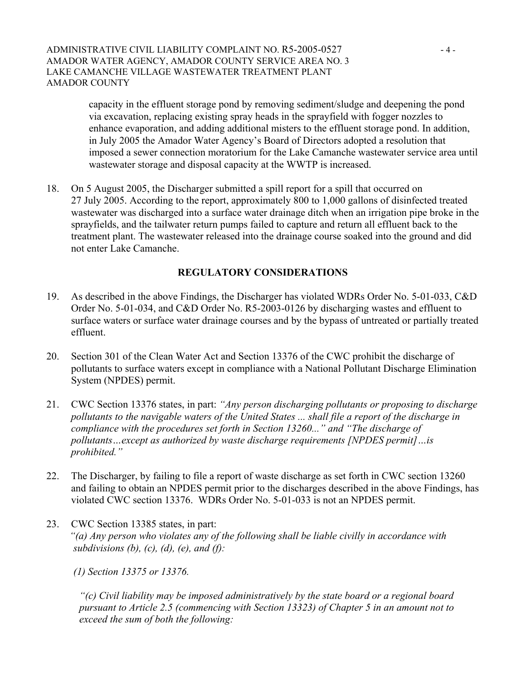#### ADMINISTRATIVE CIVIL LIABILITY COMPLAINT NO. R5-2005-0527 - 4 -AMADOR WATER AGENCY, AMADOR COUNTY SERVICE AREA NO. 3 LAKE CAMANCHE VILLAGE WASTEWATER TREATMENT PLANT AMADOR COUNTY

capacity in the effluent storage pond by removing sediment/sludge and deepening the pond via excavation, replacing existing spray heads in the sprayfield with fogger nozzles to enhance evaporation, and adding additional misters to the effluent storage pond. In addition, in July 2005 the Amador Water Agency's Board of Directors adopted a resolution that imposed a sewer connection moratorium for the Lake Camanche wastewater service area until wastewater storage and disposal capacity at the WWTP is increased.

18. On 5 August 2005, the Discharger submitted a spill report for a spill that occurred on 27 July 2005. According to the report, approximately 800 to 1,000 gallons of disinfected treated wastewater was discharged into a surface water drainage ditch when an irrigation pipe broke in the sprayfields, and the tailwater return pumps failed to capture and return all effluent back to the treatment plant. The wastewater released into the drainage course soaked into the ground and did not enter Lake Camanche.

# **REGULATORY CONSIDERATIONS**

- 19. As described in the above Findings, the Discharger has violated WDRs Order No. 5-01-033, C&D Order No. 5-01-034, and C&D Order No. R5-2003-0126 by discharging wastes and effluent to surface waters or surface water drainage courses and by the bypass of untreated or partially treated effluent.
- 20. Section 301 of the Clean Water Act and Section 13376 of the CWC prohibit the discharge of pollutants to surface waters except in compliance with a National Pollutant Discharge Elimination System (NPDES) permit.
- 21. CWC Section 13376 states, in part: *"Any person discharging pollutants or proposing to discharge pollutants to the navigable waters of the United States ... shall file a report of the discharge in compliance with the procedures set forth in Section 13260..." and "The discharge of pollutants…except as authorized by waste discharge requirements [NPDES permit]…is prohibited."*
- 22. The Discharger, by failing to file a report of waste discharge as set forth in CWC section 13260 and failing to obtain an NPDES permit prior to the discharges described in the above Findings, has violated CWC section 13376. WDRs Order No. 5-01-033 is not an NPDES permit.
- 23. CWC Section 13385 states, in part: *"(a) Any person who violates any of the following shall be liable civilly in accordance with subdivisions (b), (c), (d), (e), and (f):* 
	- *(1) Section 13375 or 13376.*

*"(c) Civil liability may be imposed administratively by the state board or a regional board pursuant to Article 2.5 (commencing with Section 13323) of Chapter 5 in an amount not to exceed the sum of both the following:*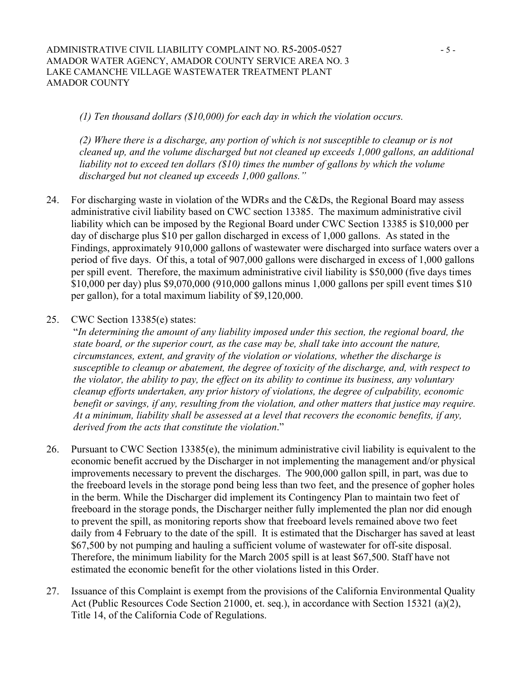*(1) Ten thousand dollars (\$10,000) for each day in which the violation occurs.* 

*(2) Where there is a discharge, any portion of which is not susceptible to cleanup or is not cleaned up, and the volume discharged but not cleaned up exceeds 1,000 gallons, an additional liability not to exceed ten dollars (\$10) times the number of gallons by which the volume discharged but not cleaned up exceeds 1,000 gallons."*

- 24. For discharging waste in violation of the WDRs and the C&Ds, the Regional Board may assess administrative civil liability based on CWC section 13385. The maximum administrative civil liability which can be imposed by the Regional Board under CWC Section 13385 is \$10,000 per day of discharge plus \$10 per gallon discharged in excess of 1,000 gallons. As stated in the Findings, approximately 910,000 gallons of wastewater were discharged into surface waters over a period of five days. Of this, a total of 907,000 gallons were discharged in excess of 1,000 gallons per spill event. Therefore, the maximum administrative civil liability is \$50,000 (five days times \$10,000 per day) plus \$9,070,000 (910,000 gallons minus 1,000 gallons per spill event times \$10 per gallon), for a total maximum liability of \$9,120,000.
- 25. CWC Section 13385(e) states:

"*In determining the amount of any liability imposed under this section, the regional board, the state board, or the superior court, as the case may be, shall take into account the nature, circumstances, extent, and gravity of the violation or violations, whether the discharge is susceptible to cleanup or abatement, the degree of toxicity of the discharge, and, with respect to the violator, the ability to pay, the effect on its ability to continue its business, any voluntary cleanup efforts undertaken, any prior history of violations, the degree of culpability, economic benefit or savings, if any, resulting from the violation, and other matters that justice may require. At a minimum, liability shall be assessed at a level that recovers the economic benefits, if any, derived from the acts that constitute the violation*."

- 26. Pursuant to CWC Section 13385(e), the minimum administrative civil liability is equivalent to the economic benefit accrued by the Discharger in not implementing the management and/or physical improvements necessary to prevent the discharges. The 900,000 gallon spill, in part, was due to the freeboard levels in the storage pond being less than two feet, and the presence of gopher holes in the berm. While the Discharger did implement its Contingency Plan to maintain two feet of freeboard in the storage ponds, the Discharger neither fully implemented the plan nor did enough to prevent the spill, as monitoring reports show that freeboard levels remained above two feet daily from 4 February to the date of the spill. It is estimated that the Discharger has saved at least \$67,500 by not pumping and hauling a sufficient volume of wastewater for off-site disposal. Therefore, the minimum liability for the March 2005 spill is at least \$67,500. Staff have not estimated the economic benefit for the other violations listed in this Order.
- 27. Issuance of this Complaint is exempt from the provisions of the California Environmental Quality Act (Public Resources Code Section 21000, et. seq.), in accordance with Section 15321 (a)(2), Title 14, of the California Code of Regulations.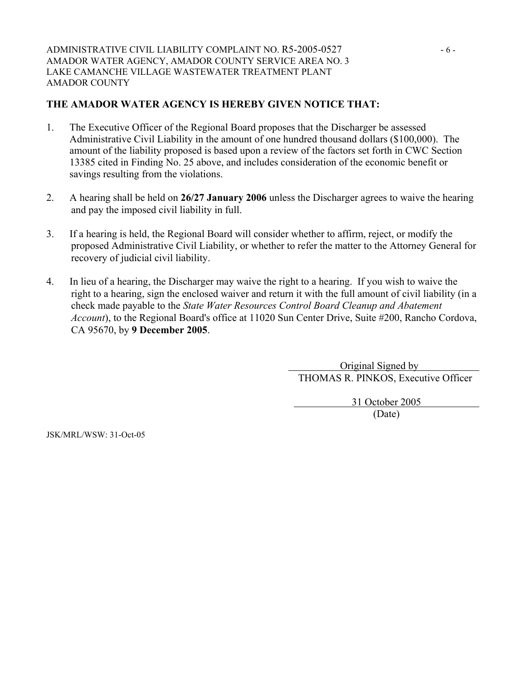# **THE AMADOR WATER AGENCY IS HEREBY GIVEN NOTICE THAT:**

- 1. The Executive Officer of the Regional Board proposes that the Discharger be assessed Administrative Civil Liability in the amount of one hundred thousand dollars (\$100,000). The amount of the liability proposed is based upon a review of the factors set forth in CWC Section 13385 cited in Finding No. 25 above, and includes consideration of the economic benefit or savings resulting from the violations.
- 2. A hearing shall be held on **26/27 January 2006** unless the Discharger agrees to waive the hearing and pay the imposed civil liability in full.
- 3. If a hearing is held, the Regional Board will consider whether to affirm, reject, or modify the proposed Administrative Civil Liability, or whether to refer the matter to the Attorney General for recovery of judicial civil liability.
- 4. In lieu of a hearing, the Discharger may waive the right to a hearing. If you wish to waive the right to a hearing, sign the enclosed waiver and return it with the full amount of civil liability (in a check made payable to the *State Water Resources Control Board Cleanup and Abatement Account*), to the Regional Board's office at 11020 Sun Center Drive, Suite #200, Rancho Cordova, CA 95670, by **9 December 2005**.

 Original Signed by THOMAS R. PINKOS, Executive Officer

 31 October 2005 (Date)

JSK/MRL/WSW: 31-Oct-05